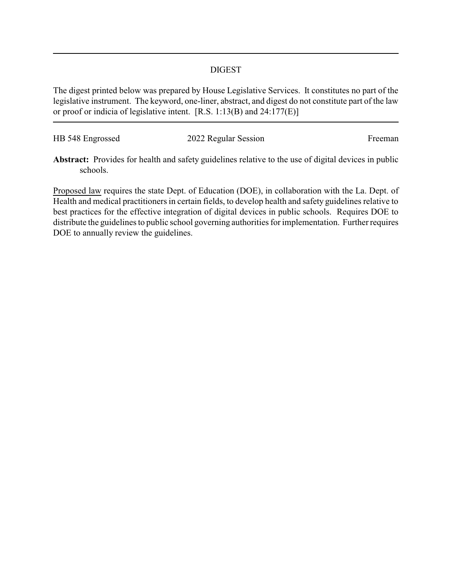## DIGEST

The digest printed below was prepared by House Legislative Services. It constitutes no part of the legislative instrument. The keyword, one-liner, abstract, and digest do not constitute part of the law or proof or indicia of legislative intent. [R.S. 1:13(B) and 24:177(E)]

| HB 548 Engrossed | 2022 Regular Session | Freeman |
|------------------|----------------------|---------|
|                  |                      |         |

**Abstract:** Provides for health and safety guidelines relative to the use of digital devices in public schools.

Proposed law requires the state Dept. of Education (DOE), in collaboration with the La. Dept. of Health and medical practitioners in certain fields, to develop health and safety guidelines relative to best practices for the effective integration of digital devices in public schools. Requires DOE to distribute the guidelines to public school governing authorities for implementation. Further requires DOE to annually review the guidelines.